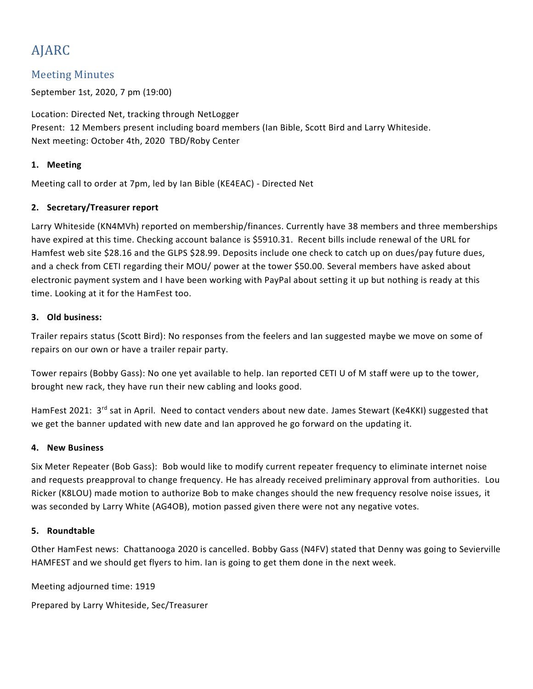# AJARC

# Meeting Minutes

September 1st, 2020, 7 pm (19:00)

Location: Directed Net, tracking through NetLogger Present: 12 Members present including board members (Ian Bible, Scott Bird and Larry Whiteside. Next meeting: October 4th, 2020 TBD/Roby Center

# **1. Meeting**

Meeting call to order at 7pm, led by Ian Bible (KE4EAC) - Directed Net

# **2. Secretary/Treasurer report**

Larry Whiteside (KN4MVh) reported on membership/finances. Currently have 38 members and three memberships have expired at this time. Checking account balance is \$5910.31. Recent bills include renewal of the URL for Hamfest web site \$28.16 and the GLPS \$28.99. Deposits include one check to catch up on dues/pay future dues, and a check from CETI regarding their MOU/ power at the tower \$50.00. Several members have asked about electronic payment system and I have been working with PayPal about setting it up but nothing is ready at this time. Looking at it for the HamFest too.

### **3. Old business:**

Trailer repairs status (Scott Bird): No responses from the feelers and Ian suggested maybe we move on some of repairs on our own or have a trailer repair party.

Tower repairs (Bobby Gass): No one yet available to help. Ian reported CETI U of M staff were up to the tower, brought new rack, they have run their new cabling and looks good.

HamFest 2021: 3<sup>rd</sup> sat in April. Need to contact venders about new date. James Stewart (Ke4KKI) suggested that we get the banner updated with new date and Ian approved he go forward on the updating it.

### **4. New Business**

Six Meter Repeater (Bob Gass): Bob would like to modify current repeater frequency to eliminate internet noise and requests preapproval to change frequency. He has already received preliminary approval from authorities. Lou Ricker (K8LOU) made motion to authorize Bob to make changes should the new frequency resolve noise issues, it was seconded by Larry White (AG4OB), motion passed given there were not any negative votes.

### **5. Roundtable**

Other HamFest news: Chattanooga 2020 is cancelled. Bobby Gass (N4FV) stated that Denny was going to Sevierville HAMFEST and we should get flyers to him. Ian is going to get them done in the next week.

Meeting adjourned time: 1919

Prepared by Larry Whiteside, Sec/Treasurer